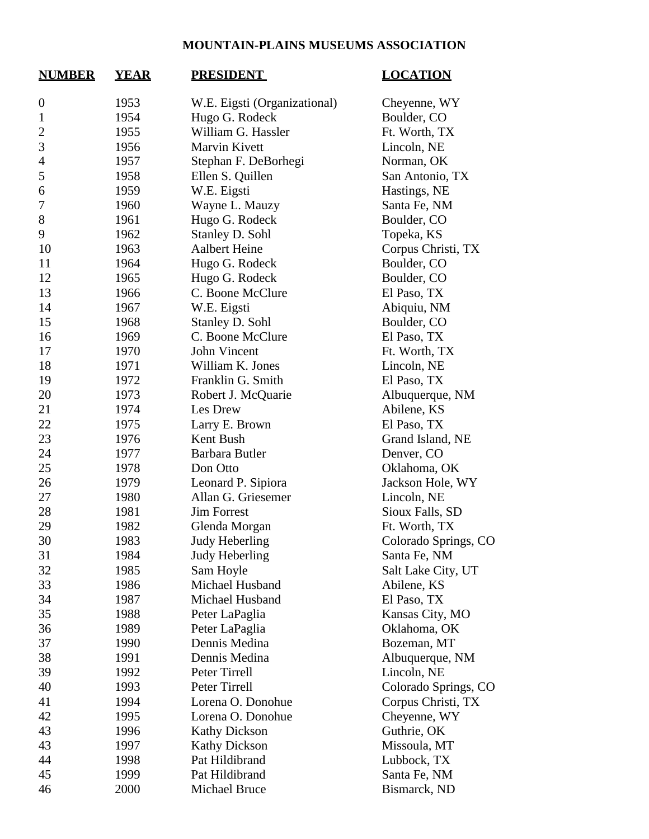## **MOUNTAIN-PLAINS MUSEUMS ASSOCIATION**

| <b>NUMBER</b>    | <b>YEAR</b> | <b>PRESIDENT</b>             | <b>LOCATION</b>      |
|------------------|-------------|------------------------------|----------------------|
| $\boldsymbol{0}$ | 1953        | W.E. Eigsti (Organizational) | Cheyenne, WY         |
| $\mathbf{1}$     | 1954        | Hugo G. Rodeck               | Boulder, CO          |
| $\overline{c}$   | 1955        | William G. Hassler           | Ft. Worth, TX        |
| 3                | 1956        | Marvin Kivett                | Lincoln, NE          |
| $\overline{4}$   | 1957        | Stephan F. DeBorhegi         | Norman, OK           |
| 5                | 1958        | Ellen S. Quillen             | San Antonio, TX      |
| 6                | 1959        | W.E. Eigsti                  | Hastings, NE         |
| 7                | 1960        | Wayne L. Mauzy               | Santa Fe, NM         |
| 8                | 1961        | Hugo G. Rodeck               | Boulder, CO          |
| 9                | 1962        | Stanley D. Sohl              | Topeka, KS           |
| 10               | 1963        | <b>Aalbert Heine</b>         | Corpus Christi, TX   |
| 11               | 1964        | Hugo G. Rodeck               | Boulder, CO          |
| 12               | 1965        | Hugo G. Rodeck               | Boulder, CO          |
| 13               | 1966        | C. Boone McClure             | El Paso, TX          |
| 14               | 1967        | W.E. Eigsti                  | Abiquiu, NM          |
| 15               | 1968        | Stanley D. Sohl              | Boulder, CO          |
| 16               | 1969        | C. Boone McClure             | El Paso, TX          |
| 17               | 1970        | John Vincent                 | Ft. Worth, TX        |
| 18               | 1971        | William K. Jones             | Lincoln, NE          |
| 19               | 1972        | Franklin G. Smith            | El Paso, TX          |
| 20               | 1973        | Robert J. McQuarie           | Albuquerque, NM      |
| 21               | 1974        | Les Drew                     | Abilene, KS          |
| 22               | 1975        | Larry E. Brown               | El Paso, TX          |
| 23               | 1976        | Kent Bush                    | Grand Island, NE     |
| 24               | 1977        | Barbara Butler               | Denver, CO           |
| 25               | 1978        | Don Otto                     | Oklahoma, OK         |
| 26               | 1979        | Leonard P. Sipiora           | Jackson Hole, WY     |
| 27               | 1980        | Allan G. Griesemer           | Lincoln, NE          |
| 28               | 1981        | <b>Jim Forrest</b>           | Sioux Falls, SD      |
| 29               | 1982        | Glenda Morgan                | Ft. Worth, TX        |
| 30               | 1983        | Judy Heberling               | Colorado Springs, CO |
| 31               | 1984        | Judy Heberling               | Santa Fe, NM         |
| 32               | 1985        | Sam Hoyle                    | Salt Lake City, UT   |
| 33               | 1986        | Michael Husband              | Abilene, KS          |
| 34               | 1987        | Michael Husband              | El Paso, TX          |
| 35               | 1988        | Peter LaPaglia               | Kansas City, MO      |
| 36               | 1989        | Peter LaPaglia               | Oklahoma, OK         |
| 37               | 1990        | Dennis Medina                | Bozeman, MT          |
| 38               | 1991        | Dennis Medina                | Albuquerque, NM      |
| 39               | 1992        | Peter Tirrell                | Lincoln, NE          |
| 40               | 1993        | Peter Tirrell                | Colorado Springs, CO |
| 41               | 1994        | Lorena O. Donohue            | Corpus Christi, TX   |
| 42               | 1995        | Lorena O. Donohue            | Cheyenne, WY         |
| 43               | 1996        | <b>Kathy Dickson</b>         | Guthrie, OK          |
| 43               | 1997        | <b>Kathy Dickson</b>         | Missoula, MT         |
| 44               | 1998        | Pat Hildibrand               | Lubbock, TX          |
| 45               | 1999        | Pat Hildibrand               | Santa Fe, NM         |
| 46               | 2000        | Michael Bruce                | Bismarck, ND         |